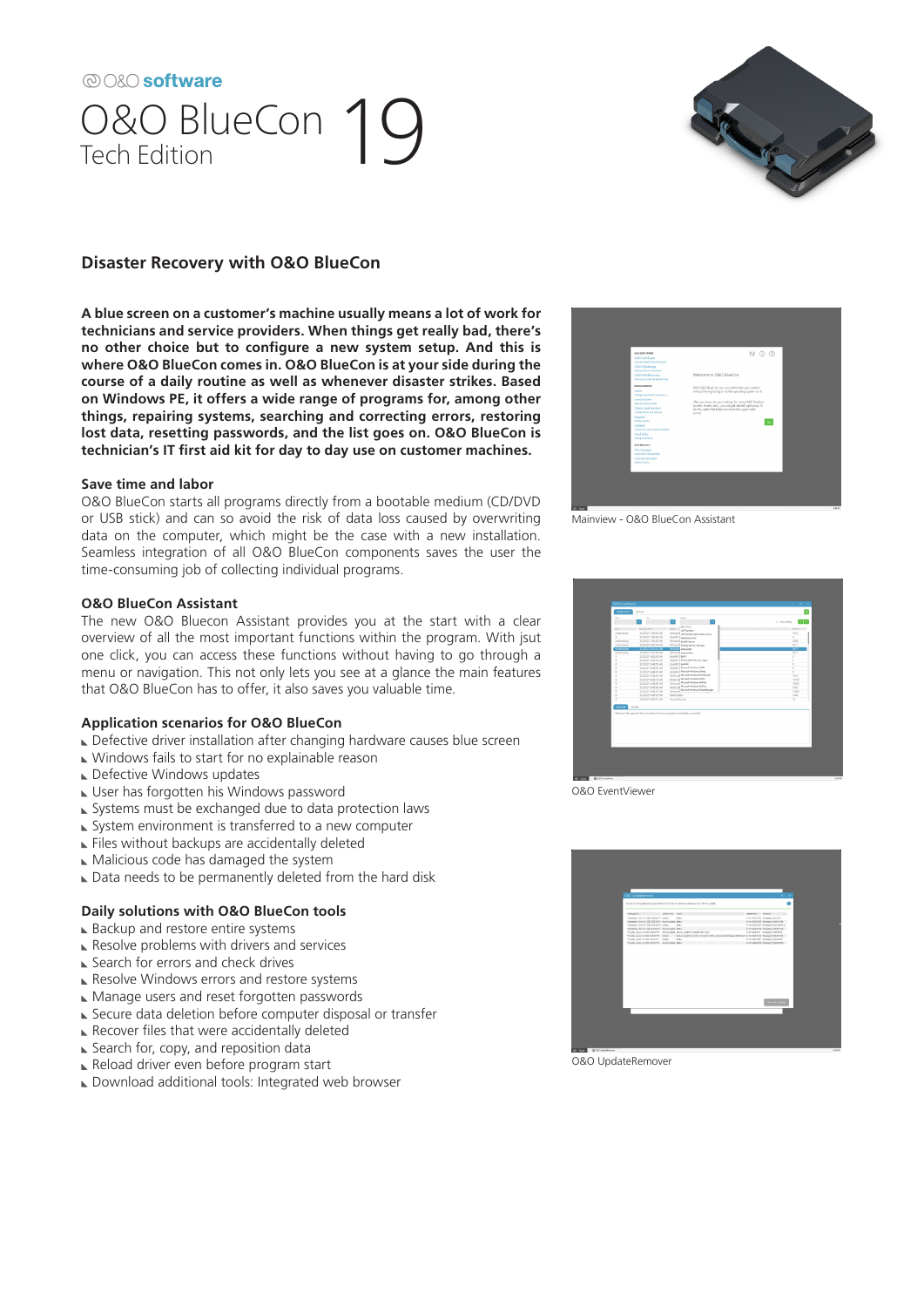# @O&O software O&O BlueCon 19



## **Disaster Recovery with O&O BlueCon**

**A blue screen on a customer's machine usually means a lot of work for technicians and service providers. When things get really bad, there's no other choice but to configure a new system setup. And this is where O&O BlueCon comes in. O&O BlueCon is at your side during the course of a daily routine as well as whenever disaster strikes. Based on Windows PE, it offers a wide range of programs for, among other things, repairing systems, searching and correcting errors, restoring lost data, resetting passwords, and the list goes on. O&O BlueCon is technician's IT first aid kit for day to day use on customer machines.** 

### **Save time and labor**

O&O BlueCon starts all programs directly from a bootable medium (CD/DVD or USB stick) and can so avoid the risk of data loss caused by overwriting data on the computer, which might be the case with a new installation. Seamless integration of all O&O BlueCon components saves the user the time-consuming job of collecting individual programs.

### **O&O BlueCon Assistant**

The new O&O Bluecon Assistant provides you at the start with a clear overview of all the most important functions within the program. With jsut one click, you can access these functions without having to go through a menu or navigation. This not only lets you see at a glance the main features that O&O BlueCon has to offer, it also saves you valuable time.

### **Application scenarios for O&O BlueCon**

- Defective driver installation after changing hardware causes blue screen
- Windows fails to start for no explainable reason
- Defective Windows updates
- User has forgotten his Windows password
- Systems must be exchanged due to data protection laws
- ► System environment is transferred to a new computer
- Files without backups are accidentally deleted
- Malicious code has damaged the system
- Data needs to be permanently deleted from the hard disk

### **Daily solutions with O&O BlueCon tools**

- ► Backup and restore entire systems
- $\blacktriangleright$  Resolve problems with drivers and services
- ► Search for errors and check drives
- Resolve Windows errors and restore systems
- Manage users and reset forgotten passwords
- Secure data deletion before computer disposal or transfer
- $\blacktriangleright$  Recover files that were accidentally deleted
- ► Search for, copy, and reposition data
- Reload driver even before program start
- Download additional tools: Integrated web browser



Mainview - O&O BlueCon Assistant

| Expre        | $\mathcal{H}_\mathrm{f}$ | Service                                                                          |                          |
|--------------|--------------------------|----------------------------------------------------------------------------------|--------------------------|
|              | $\ddot{}$                | $\overline{\phantom{a}}$<br>l.                                                   | 1 - 100 (3999)           |
| in a com-    | <b>Deltard Fed. </b>     | (No Fire)<br>SSAIL 1                                                             | <b>First &amp;</b>       |
| Information. | 1/10/21 7 05/37 AM       | <b>AFT Burling</b>                                                               | 7552                     |
| ï            | 3/3/3021 7 06/32 AW      | Microsof <sub>AET furtime Optimization Service</sub><br>Build & Applyment Brow   | $\overline{a}$           |
| information  | 3/2/2021 7:05:00 AM      | Motorf austrance                                                                 | 6000                     |
| information. | 1/2/2/21 6/57 44 AW      | Microsoft Dealery Window Manager                                                 | 5517                     |
| internation  | <b>LUXUST BATVERN</b>    | Mitsutti etpeator                                                                | MA <sub>2</sub>          |
| information  | 1/2007 65709 AM          | Motorf electricity                                                               | 5(1)                     |
|              | 1/20021 6:52:51 AW       | Buildit, I BENT                                                                  | ×                        |
|              | 3/2/2021 6:52:43 AW      | Build C. L. Finder Oxford & Group Agent                                          | $\overline{\phantom{a}}$ |
|              | 3/2/2021 6:40:59 AW      | Build C  punishe                                                                 | s                        |
|              | 3/2/2021 64656 AW        | Bullett, A Microsoft-Wednes-DAR                                                  | s                        |
|              | 6/20021 6:86/87.8M       | <b>Rubble of Microsoft Windows Online</b>                                        | $\overline{\phantom{a}}$ |
|              | 3/2/2021 6:46:39 AM      | Molivetal Microsoft-Wednes-basebyden                                             | $+305$                   |
|              | 1/2022 E-8522-RM         | Midwest Microsoft Window Parks                                                   | 11707                    |
|              | 10/0021 6:6503 AW        | Monroe Managh Wednes Partiet                                                     | 10001                    |
|              | 3/2/2021 6:4500 AW       | Military Microsoft Wedges Parties                                                | 156                      |
|              | LOCOT NEVVI AV           | Morrows Manach Wednes Antietitienper                                             | 13000                    |
|              | 3/2/2021 6:45:42 AM      | Milriche                                                                         | 1003                     |
|              | 3/2/2021 6:02:55 AM      | SparkKenter                                                                      | $\overline{15}$          |
|              |                          | Window, Management Instrumentation Service outerwisms initiational outcomplyfing |                          |

O&O EventViewer



O&O UpdateRemover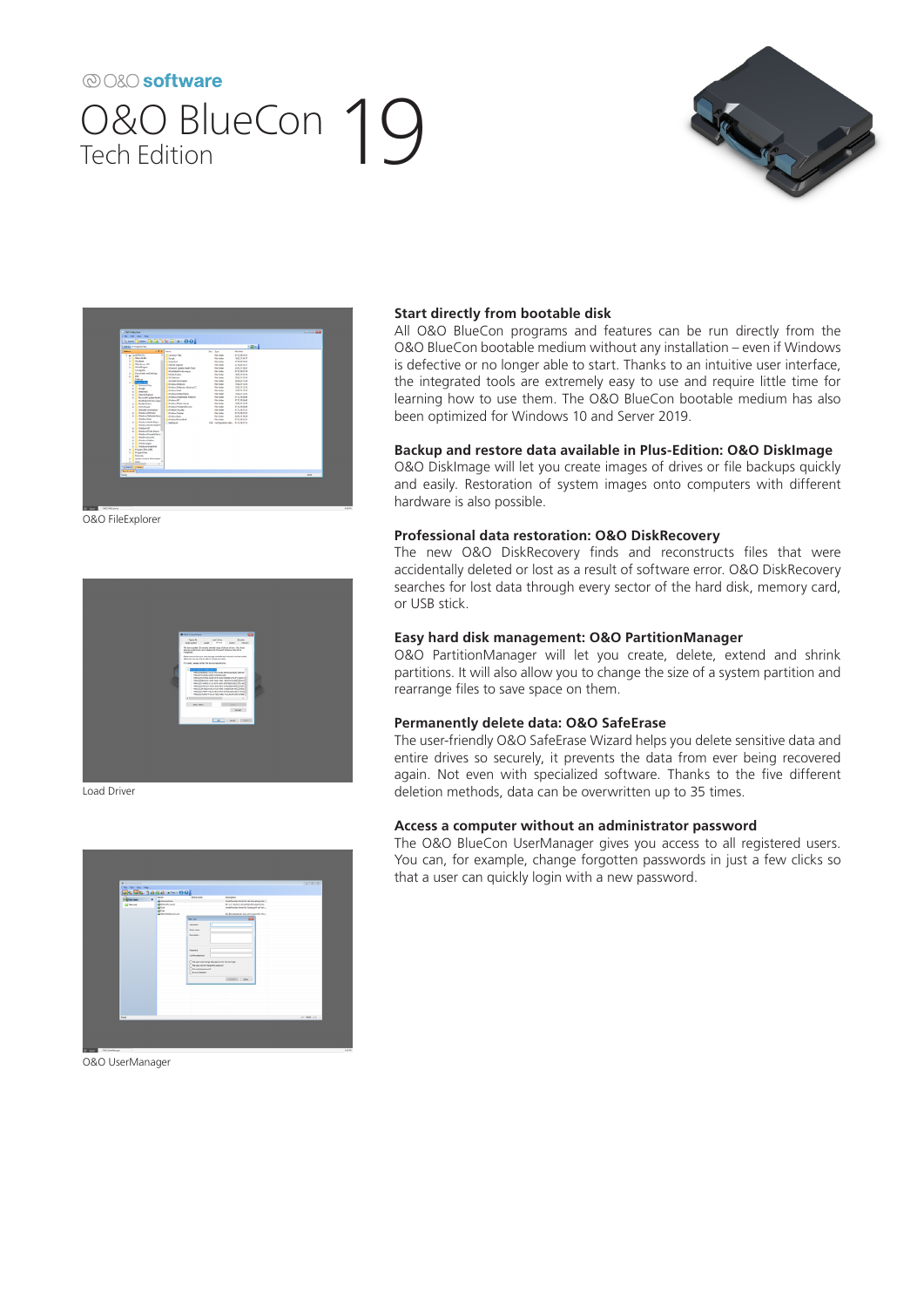# 20080 software O&O BlueCon 19





O&O FileExplorer



Load Driver



O&O UserManager

### **Start directly from bootable disk**

All O&O BlueCon programs and features can be run directly from the O&O BlueCon bootable medium without any installation – even if Windows is defective or no longer able to start. Thanks to an intuitive user interface, the integrated tools are extremely easy to use and require little time for learning how to use them. The O&O BlueCon bootable medium has also been optimized for Windows 10 and Server 2019.

### **Backup and restore data available in Plus-Edition: O&O DiskImage**

O&O DiskImage will let you create images of drives or file backups quickly and easily. Restoration of system images onto computers with different hardware is also possible.

### **Professional data restoration: O&O DiskRecovery**

The new O&O DiskRecovery finds and reconstructs files that were accidentally deleted or lost as a result of software error. O&O DiskRecovery searches for lost data through every sector of the hard disk, memory card, or USB stick.

### **Easy hard disk management: O&O PartitionManager**

O&O PartitionManager will let you create, delete, extend and shrink partitions. It will also allow you to change the size of a system partition and rearrange files to save space on them.

### **Permanently delete data: O&O SafeErase**

The user-friendly O&O SafeErase Wizard helps you delete sensitive data and entire drives so securely, it prevents the data from ever being recovered again. Not even with specialized software. Thanks to the five different deletion methods, data can be overwritten up to 35 times.

### **Access a computer without an administrator password**

The O&O BlueCon UserManager gives you access to all registered users. You can, for example, change forgotten passwords in just a few clicks so that a user can quickly login with a new password.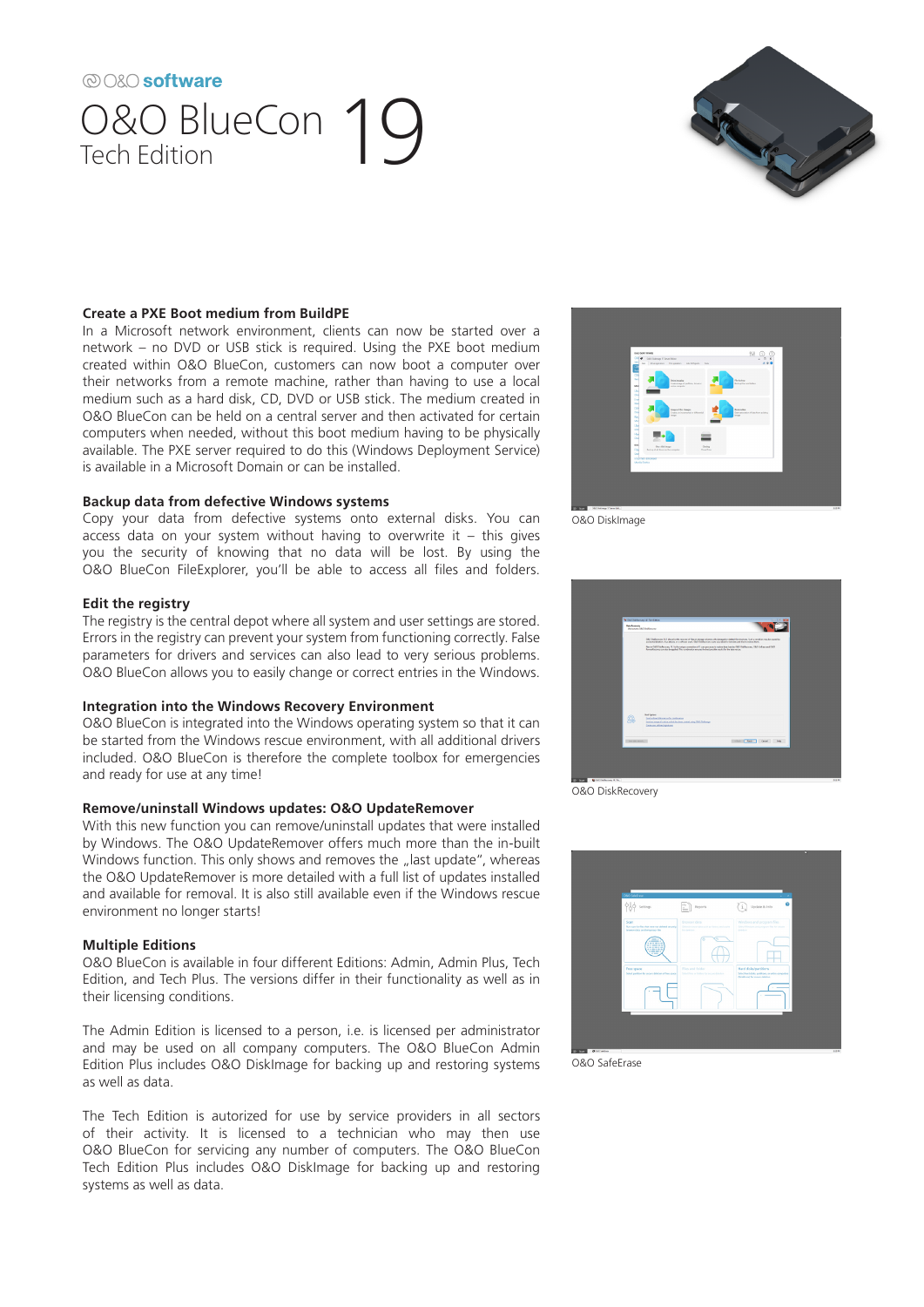# ® O&O software O&O BlueCon 19



### **Create a PXE Boot medium from BuildPE**

In a Microsoft network environment, clients can now be started over a network – no DVD or USB stick is required. Using the PXE boot medium created within O&O BlueCon, customers can now boot a computer over their networks from a remote machine, rather than having to use a local medium such as a hard disk, CD, DVD or USB stick. The medium created in O&O BlueCon can be held on a central server and then activated for certain computers when needed, without this boot medium having to be physically available. The PXE server required to do this (Windows Deployment Service) is available in a Microsoft Domain or can be installed.

### **Backup data from defective Windows systems**

Copy your data from defective systems onto external disks. You can access data on your system without having to overwrite it  $-$  this gives you the security of knowing that no data will be lost. By using the O&O BlueCon FileExplorer, you'll be able to access all files and folders.

### **Edit the registry**

The registry is the central depot where all system and user settings are stored. Errors in the registry can prevent your system from functioning correctly. False parameters for drivers and services can also lead to very serious problems. O&O BlueCon allows you to easily change or correct entries in the Windows.

## **Integration into the Windows Recovery Environment**

O&O BlueCon is integrated into the Windows operating system so that it can be started from the Windows rescue environment, with all additional drivers included. O&O BlueCon is therefore the complete toolbox for emergencies and ready for use at any time!

#### **Remove/uninstall Windows updates: O&O UpdateRemover**

With this new function you can remove/uninstall updates that were installed by Windows. The O&O UpdateRemover offers much more than the in-built Windows function. This only shows and removes the "last update", whereas the O&O UpdateRemover is more detailed with a full list of updates installed and available for removal. It is also still available even if the Windows rescue environment no longer starts!

#### **Multiple Editions**

O&O BlueCon is available in four different Editions: Admin, Admin Plus, Tech Edition, and Tech Plus. The versions differ in their functionality as well as in their licensing conditions.

The Admin Edition is licensed to a person, i.e. is licensed per administrator and may be used on all company computers. The O&O BlueCon Admin Edition Plus includes O&O DiskImage for backing up and restoring systems as well as data.

The Tech Edition is autorized for use by service providers in all sectors of their activity. It is licensed to a technician who may then use O&O BlueCon for servicing any number of computers. The O&O BlueCon Tech Edition Plus includes O&O DiskImage for backing up and restoring systems as well as data.



O&O DiskImage



O&O DiskRecovery



O&O SafeErase